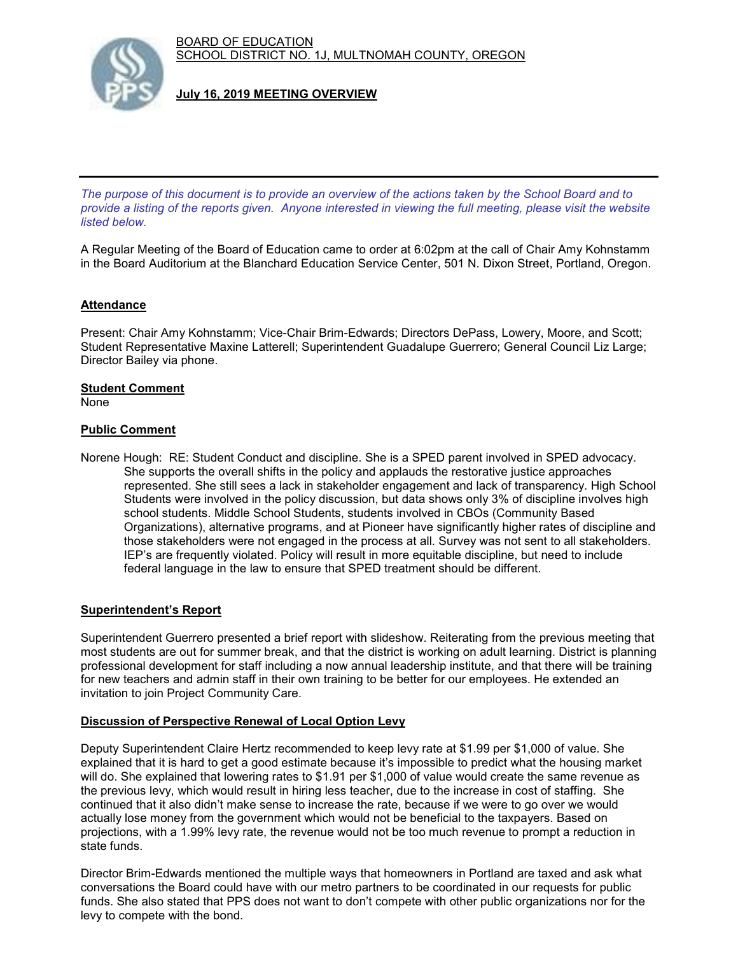BOARD OF EDUCATION SCHOOL DISTRICT NO. 1J, MULTNOMAH COUNTY, OREGON



**July 16, 2019 MEETING OVERVIEW**

*The purpose of this document is to provide an overview of the actions taken by the School Board and to provide a listing of the reports given. Anyone interested in viewing the full meeting, please visit the website listed below.*

A Regular Meeting of the Board of Education came to order at 6:02pm at the call of Chair Amy Kohnstamm in the Board Auditorium at the Blanchard Education Service Center, 501 N. Dixon Street, Portland, Oregon.

# **Attendance**

Present: Chair Amy Kohnstamm; Vice-Chair Brim-Edwards; Directors DePass, Lowery, Moore, and Scott; Student Representative Maxine Latterell; Superintendent Guadalupe Guerrero; General Council Liz Large; Director Bailey via phone.

# **Student Comment**

None

## **Public Comment**

Norene Hough: RE: Student Conduct and discipline. She is a SPED parent involved in SPED advocacy. She supports the overall shifts in the policy and applauds the restorative justice approaches represented. She still sees a lack in stakeholder engagement and lack of transparency. High School Students were involved in the policy discussion, but data shows only 3% of discipline involves high school students. Middle School Students, students involved in CBOs (Community Based Organizations), alternative programs, and at Pioneer have significantly higher rates of discipline and those stakeholders were not engaged in the process at all. Survey was not sent to all stakeholders. IEP's are frequently violated. Policy will result in more equitable discipline, but need to include federal language in the law to ensure that SPED treatment should be different.

## **Superintendent's Report**

Superintendent Guerrero presented a brief report with slideshow. Reiterating from the previous meeting that most students are out for summer break, and that the district is working on adult learning. District is planning professional development for staff including a now annual leadership institute, and that there will be training for new teachers and admin staff in their own training to be better for our employees. He extended an invitation to join Project Community Care.

## **Discussion of Perspective Renewal of Local Option Levy**

Deputy Superintendent Claire Hertz recommended to keep levy rate at \$1.99 per \$1,000 of value. She explained that it is hard to get a good estimate because it's impossible to predict what the housing market will do. She explained that lowering rates to \$1.91 per \$1,000 of value would create the same revenue as the previous levy, which would result in hiring less teacher, due to the increase in cost of staffing. She continued that it also didn't make sense to increase the rate, because if we were to go over we would actually lose money from the government which would not be beneficial to the taxpayers. Based on projections, with a 1.99% levy rate, the revenue would not be too much revenue to prompt a reduction in state funds.

Director Brim-Edwards mentioned the multiple ways that homeowners in Portland are taxed and ask what conversations the Board could have with our metro partners to be coordinated in our requests for public funds. She also stated that PPS does not want to don't compete with other public organizations nor for the levy to compete with the bond.